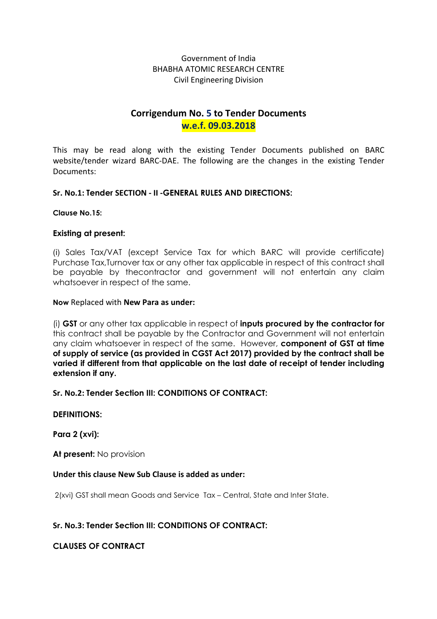### Government of India BHABHA ATOMIC RESEARCH CENTRE Civil Engineering Division

# Corrigendum No. 5 to Tender Documents w.e.f. 09.03.2018

This may be read along with the existing Tender Documents published on BARC website/tender wizard BARC-DAE. The following are the changes in the existing Tender Documents:

### Sr. No.1: Tender SECTION - II -GENERAL RULES AND DIRECTIONS:

#### Clause No.15:

#### Existing at present:

(i) Sales Tax/VAT (except Service Tax for which BARC will provide certificate) Purchase Tax,Turnover tax or any other tax applicable in respect of this contract shall be payable by thecontractor and government will not entertain any claim whatsoever in respect of the same.

#### Now Replaced with New Para as under:

(i) GST or any other tax applicable in respect of inputs procured by the contractor for this contract shall be payable by the Contractor and Government will not entertain any claim whatsoever in respect of the same. However, **component of GST at time** of supply of service (as provided in CGST Act 2017) provided by the contract shall be varied if different from that applicable on the last date of receipt of tender including extension if any.

#### Sr. No.2: Tender Section III: CONDITIONS OF CONTRACT:

#### DEFINITIONS:

Para 2 (xvi):

At present: No provision

#### Under this clause New Sub Clause is added as under:

2(xvi) GST shall mean Goods and Service Tax – Central, State and Inter State.

### Sr. No.3: Tender Section III: CONDITIONS OF CONTRACT:

CLAUSES OF CONTRACT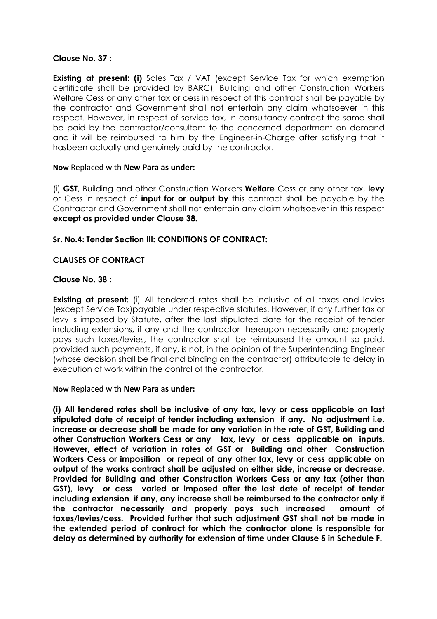#### Clause No. 37 :

**Existing at present: (i)** Sales Tax / VAT (except Service Tax for which exemption certificate shall be provided by BARC), Building and other Construction Workers Welfare Cess or any other tax or cess in respect of this contract shall be payable by the contractor and Government shall not entertain any claim whatsoever in this respect. However, in respect of service tax, in consultancy contract the same shall be paid by the contractor/consultant to the concerned department on demand and it will be reimbursed to him by the Engineer-in-Charge after satisfying that it hasbeen actually and genuinely paid by the contractor.

#### Now Replaced with New Para as under:

(i) GST, Building and other Construction Workers Welfare Cess or any other tax, levy or Cess in respect of **input for or output by** this contract shall be payable by the Contractor and Government shall not entertain any claim whatsoever in this respect except as provided under Clause 38.

### Sr. No.4: Tender Section III: CONDITIONS OF CONTRACT:

### CLAUSES OF CONTRACT

#### Clause No. 38 :

**Existing at present:** (i) All tendered rates shall be inclusive of all taxes and levies (except Service Tax)payable under respective statutes. However, if any further tax or levy is imposed by Statute, after the last stipulated date for the receipt of tender including extensions, if any and the contractor thereupon necessarily and properly pays such taxes/levies, the contractor shall be reimbursed the amount so paid, provided such payments, if any, is not, in the opinion of the Superintending Engineer (whose decision shall be final and binding on the contractor) attributable to delay in execution of work within the control of the contractor.

Now Replaced with New Para as under:

(i) All tendered rates shall be inclusive of any tax, levy or cess applicable on last stipulated date of receipt of tender including extension if any. No adjustment i.e. increase or decrease shall be made for any variation in the rate of GST, Building and other Construction Workers Cess or any tax, levy or cess applicable on inputs. However, effect of variation in rates of GST or Building and other Construction Workers Cess or imposition or repeal of any other tax, levy or cess applicable on output of the works contract shall be adjusted on either side, increase or decrease. Provided for Building and other Construction Workers Cess or any tax (other than GST), levy or cess varied or imposed after the last date of receipt of tender including extension if any, any increase shall be reimbursed to the contractor only if the contractor necessarily and properly pays such increased amount of taxes/levies/cess. Provided further that such adjustment GST shall not be made in the extended period of contract for which the contractor alone is responsible for delay as determined by authority for extension of time under Clause 5 in Schedule F.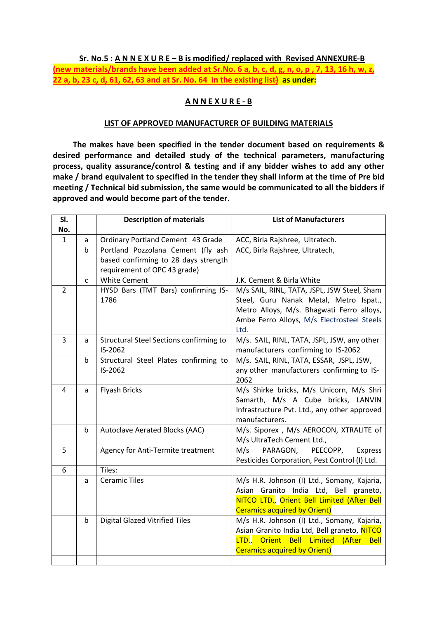#### Sr. No.5 :  $\overline{A}$  N N E X U R E – B is modified/ replaced with Revised ANNEXURE-B

(new materials/brands have been added at Sr.No. 6 a, b, c, d, g, n, o, p , 7, 13, 16 h, w, z, 22 a, b, 23 c, d, 61, 62, 63 and at Sr. No. 64 in the existing list $\}$  as under:

### A N N E X U R E - B

#### LIST OF APPROVED MANUFACTURER OF BUILDING MATERIALS

 The makes have been specified in the tender document based on requirements & desired performance and detailed study of the technical parameters, manufacturing process, quality assurance/control & testing and if any bidder wishes to add any other make / brand equivalent to specified in the tender they shall inform at the time of Pre bid meeting / Technical bid submission, the same would be communicated to all the bidders if approved and would become part of the tender.

| SI.            |             | <b>Description of materials</b>         | <b>List of Manufacturers</b>                  |
|----------------|-------------|-----------------------------------------|-----------------------------------------------|
| No.            |             |                                         |                                               |
| $\mathbf{1}$   | a           | Ordinary Portland Cement 43 Grade       | ACC, Birla Rajshree, Ultratech.               |
|                | $\mathsf b$ | Portland Pozzolana Cement (fly ash      | ACC, Birla Rajshree, Ultratech,               |
|                |             | based confirming to 28 days strength    |                                               |
|                |             | requirement of OPC 43 grade)            |                                               |
|                | C           | <b>White Cement</b>                     | J.K. Cement & Birla White                     |
| $\overline{2}$ |             | HYSD Bars (TMT Bars) confirming IS-     | M/s SAIL, RINL, TATA, JSPL, JSW Steel, Sham   |
|                |             | 1786                                    | Steel, Guru Nanak Metal, Metro Ispat.,        |
|                |             |                                         | Metro Alloys, M/s. Bhagwati Ferro alloys,     |
|                |             |                                         | Ambe Ferro Alloys, M/s Electrosteel Steels    |
|                |             |                                         | Ltd.                                          |
| $\overline{3}$ | a           | Structural Steel Sections confirming to | M/s. SAIL, RINL, TATA, JSPL, JSW, any other   |
|                |             | IS-2062                                 | manufacturers confirming to IS-2062           |
|                | $\mathsf b$ | Structural Steel Plates confirming to   | M/s. SAIL, RINL, TATA, ESSAR, JSPL, JSW,      |
|                |             | IS-2062                                 | any other manufacturers confirming to IS-     |
|                |             |                                         | 2062                                          |
| $\overline{4}$ | a           | <b>Flyash Bricks</b>                    | M/s Shirke bricks, M/s Unicorn, M/s Shri      |
|                |             |                                         | Samarth, M/s A Cube bricks, LANVIN            |
|                |             |                                         | Infrastructure Pvt. Ltd., any other approved  |
|                |             |                                         | manufacturers.                                |
|                | b           | Autoclave Aerated Blocks (AAC)          | M/s. Siporex , M/s AEROCON, XTRALITE of       |
|                |             |                                         | M/s UltraTech Cement Ltd.,                    |
| 5              |             | Agency for Anti-Termite treatment       | M/s<br>PARAGON,<br>PEECOPP,<br>Express        |
|                |             |                                         | Pesticides Corporation, Pest Control (I) Ltd. |
| 6              |             | Tiles:                                  |                                               |
|                | a           | <b>Ceramic Tiles</b>                    | M/s H.R. Johnson (I) Ltd., Somany, Kajaria,   |
|                |             |                                         | Asian Granito India Ltd, Bell graneto,        |
|                |             |                                         | NITCO LTD., Orient Bell Limited (After Bell   |
|                |             |                                         | <b>Ceramics acquired by Orient)</b>           |
|                | b           | <b>Digital Glazed Vitrified Tiles</b>   | M/s H.R. Johnson (I) Ltd., Somany, Kajaria,   |
|                |             |                                         | Asian Granito India Ltd, Bell graneto, NITCO  |
|                |             |                                         | LTD., Orient Bell Limited (After Bell         |
|                |             |                                         | <b>Ceramics acquired by Orient)</b>           |
|                |             |                                         |                                               |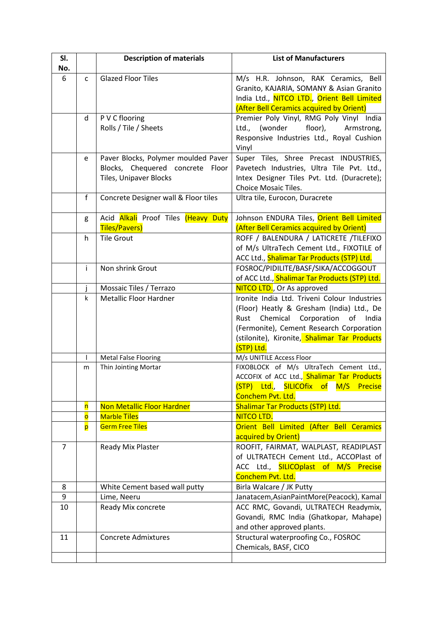| SI.<br>No. |                         | <b>Description of materials</b>                                                                      | <b>List of Manufacturers</b>                                                                                                                                                                                                                          |
|------------|-------------------------|------------------------------------------------------------------------------------------------------|-------------------------------------------------------------------------------------------------------------------------------------------------------------------------------------------------------------------------------------------------------|
| 6          | $\mathsf{C}$            | <b>Glazed Floor Tiles</b>                                                                            | M/s H.R. Johnson, RAK Ceramics, Bell<br>Granito, KAJARIA, SOMANY & Asian Granito<br>India Ltd., NITCO LTD., Orient Bell Limited<br>(After Bell Ceramics acquired by Orient)                                                                           |
|            | d                       | P V C flooring<br>Rolls / Tile / Sheets                                                              | Premier Poly Vinyl, RMG Poly Vinyl India<br>floor),<br>Ltd.,<br>(wonder<br>Armstrong,<br>Responsive Industries Ltd., Royal Cushion<br>Vinyl                                                                                                           |
|            | e                       | Paver Blocks, Polymer moulded Paver<br>Blocks, Chequered concrete<br>Floor<br>Tiles, Unipaver Blocks | Super Tiles, Shree Precast INDUSTRIES,<br>Pavetech Industries, Ultra Tile Pvt. Ltd.,<br>Intex Designer Tiles Pvt. Ltd. (Duracrete);<br>Choice Mosaic Tiles.                                                                                           |
|            | $\mathsf{f}$            | Concrete Designer wall & Floor tiles                                                                 | Ultra tile, Eurocon, Duracrete                                                                                                                                                                                                                        |
|            | g                       | Acid <b>Alkali</b> Proof Tiles (Heavy Duty<br>Tiles/Pavers)                                          | Johnson ENDURA Tiles, Orient Bell Limited<br>(After Bell Ceramics acquired by Orient)                                                                                                                                                                 |
|            | h                       | <b>Tile Grout</b>                                                                                    | ROFF / BALENDURA / LATICRETE /TILEFIXO<br>of M/s UltraTech Cement Ltd., FIXOTILE of<br>ACC Ltd., Shalimar Tar Products (STP) Ltd.                                                                                                                     |
|            | Ť                       | Non shrink Grout                                                                                     | FOSROC/PIDILITE/BASF/SIKA/ACCOGGOUT<br>of ACC Ltd., Shalimar Tar Products (STP) Ltd.                                                                                                                                                                  |
|            |                         | Mossaic Tiles / Terrazo                                                                              | NITCO LTD., Or As approved                                                                                                                                                                                                                            |
|            | k                       | <b>Metallic Floor Hardner</b>                                                                        | Ironite India Ltd. Triveni Colour Industries<br>(Floor) Heatly & Gresham (India) Ltd., De<br>Chemical<br>Corporation<br>of<br>India<br>Rust<br>(Fermonite), Cement Research Corporation<br>(stilonite), Kironite, Shalimar Tar Products<br>(STP) Ltd. |
|            |                         | <b>Metal False Flooring</b>                                                                          | M/s UNITILE Access Floor                                                                                                                                                                                                                              |
|            | m                       | Thin Jointing Mortar                                                                                 | FIXOBLOCK of M/s UltraTech Cement Ltd.,<br>ACCOFIX of ACC Ltd., Shalimar Tar Products<br>(STP) Ltd., SILICOfix of<br>M/S<br><b>Precise</b><br>Conchem Pvt. Ltd.                                                                                       |
|            | $\overline{\mathsf{n}}$ | <b>Non Metallic Floor Hardner</b>                                                                    | <b>Shalimar Tar Products (STP) Ltd.</b>                                                                                                                                                                                                               |
|            | $\overline{\mathbf{o}}$ | <b>Marble Tiles</b>                                                                                  | NITCO LTD.                                                                                                                                                                                                                                            |
|            | p                       | <b>Germ Free Tiles</b>                                                                               | Orient Bell Limited (After Bell Ceramics<br>acquired by Orient)                                                                                                                                                                                       |
| 7          |                         | Ready Mix Plaster                                                                                    | ROOFIT, FAIRMAT, WALPLAST, READIPLAST<br>of ULTRATECH Cement Ltd., ACCOPlast of<br>ACC Ltd., <b>SILICOplast of M/S Precise</b><br>Conchem Pvt. Ltd.                                                                                                   |
| 8          |                         | White Cement based wall putty                                                                        | Birla Walcare / JK Putty                                                                                                                                                                                                                              |
| 9          |                         | Lime, Neeru                                                                                          | Janatacem, Asian Paint More (Peacock), Kamal                                                                                                                                                                                                          |
| 10         |                         | Ready Mix concrete                                                                                   | ACC RMC, Govandi, ULTRATECH Readymix,<br>Govandi, RMC India (Ghatkopar, Mahape)<br>and other approved plants.                                                                                                                                         |
| 11         |                         | <b>Concrete Admixtures</b>                                                                           | Structural waterproofing Co., FOSROC<br>Chemicals, BASF, CICO                                                                                                                                                                                         |
|            |                         |                                                                                                      |                                                                                                                                                                                                                                                       |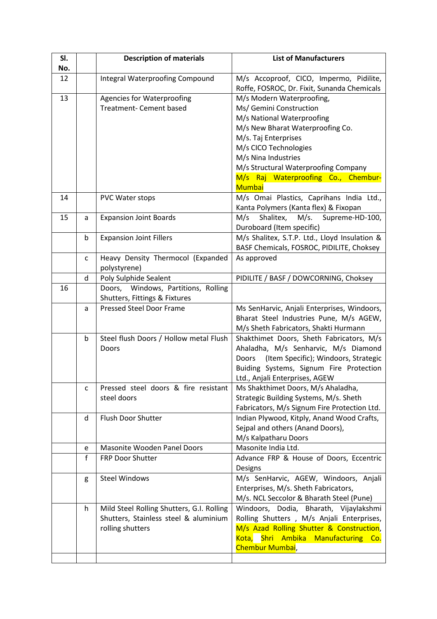| SI.<br>No. |              | <b>Description of materials</b>                                                                        | <b>List of Manufacturers</b>                                                                                                                                                                                                                                                  |
|------------|--------------|--------------------------------------------------------------------------------------------------------|-------------------------------------------------------------------------------------------------------------------------------------------------------------------------------------------------------------------------------------------------------------------------------|
| 12         |              | Integral Waterproofing Compound                                                                        | M/s Accoproof, CICO, Impermo, Pidilite,<br>Roffe, FOSROC, Dr. Fixit, Sunanda Chemicals                                                                                                                                                                                        |
| 13         |              | <b>Agencies for Waterproofing</b><br>Treatment- Cement based                                           | M/s Modern Waterproofing,<br>Ms/ Gemini Construction<br>M/s National Waterproofing<br>M/s New Bharat Waterproofing Co.<br>M/s. Taj Enterprises<br>M/s CICO Technologies<br>M/s Nina Industries<br>M/s Structural Waterproofing Company<br>M/s Raj Waterproofing Co., Chembur- |
| 14         |              | PVC Water stops                                                                                        | <b>Mumbai</b><br>M/s Omai Plastics, Caprihans India Ltd.,                                                                                                                                                                                                                     |
| 15         | a            | <b>Expansion Joint Boards</b>                                                                          | Kanta Polymers (Kanta flex) & Fixopan<br>Shalitex,<br>M/s<br>M/s.<br>Supreme-HD-100,                                                                                                                                                                                          |
|            |              |                                                                                                        | Duroboard (Item specific)                                                                                                                                                                                                                                                     |
|            | b            | <b>Expansion Joint Fillers</b>                                                                         | M/s Shalitex, S.T.P. Ltd., Lloyd Insulation &<br>BASF Chemicals, FOSROC, PIDILITE, Choksey                                                                                                                                                                                    |
|            | $\mathsf{C}$ | Heavy Density Thermocol (Expanded<br>polystyrene)                                                      | As approved                                                                                                                                                                                                                                                                   |
|            | d            | Poly Sulphide Sealent                                                                                  | PIDILITE / BASF / DOWCORNING, Choksey                                                                                                                                                                                                                                         |
| 16         |              | Doors, Windows, Partitions, Rolling<br>Shutters, Fittings & Fixtures                                   |                                                                                                                                                                                                                                                                               |
|            | a            | <b>Pressed Steel Door Frame</b>                                                                        | Ms SenHarvic, Anjali Enterprises, Windoors,<br>Bharat Steel Industries Pune, M/s AGEW,<br>M/s Sheth Fabricators, Shakti Hurmann                                                                                                                                               |
|            | b            | Steel flush Doors / Hollow metal Flush<br>Doors                                                        | Shakthimet Doors, Sheth Fabricators, M/s<br>Ahaladha, M/s Senharvic, M/s Diamond<br>(Item Specific); Windoors, Strategic<br>Doors<br>Buiding Systems, Signum Fire Protection<br>Ltd., Anjali Enterprises, AGEW                                                                |
|            | с            | Pressed steel doors & fire resistant<br>steel doors                                                    | Ms Shakthimet Doors, M/s Ahaladha,<br>Strategic Building Systems, M/s. Sheth<br>Fabricators, M/s Signum Fire Protection Ltd.                                                                                                                                                  |
|            | d            | Flush Door Shutter                                                                                     | Indian Plywood, Kitply, Anand Wood Crafts,<br>Sejpal and others (Anand Doors),<br>M/s Kalpatharu Doors                                                                                                                                                                        |
|            | e            | Masonite Wooden Panel Doors                                                                            | Masonite India Ltd.                                                                                                                                                                                                                                                           |
|            | f            | <b>FRP Door Shutter</b>                                                                                | Advance FRP & House of Doors, Eccentric<br>Designs                                                                                                                                                                                                                            |
|            | g            | <b>Steel Windows</b>                                                                                   | M/s SenHarvic, AGEW, Windoors, Anjali<br>Enterprises, M/s. Sheth Fabricators,<br>M/s. NCL Seccolor & Bharath Steel (Pune)                                                                                                                                                     |
|            | h            | Mild Steel Rolling Shutters, G.I. Rolling<br>Shutters, Stainless steel & aluminium<br>rolling shutters | Windoors, Dodia,<br>Bharath, Vijaylakshmi<br>Rolling Shutters, M/s Anjali Enterprises,<br>M/s Azad Rolling Shutter & Construction,<br>Kota, Shri Ambika Manufacturing Co.<br>Chembur Mumbai,                                                                                  |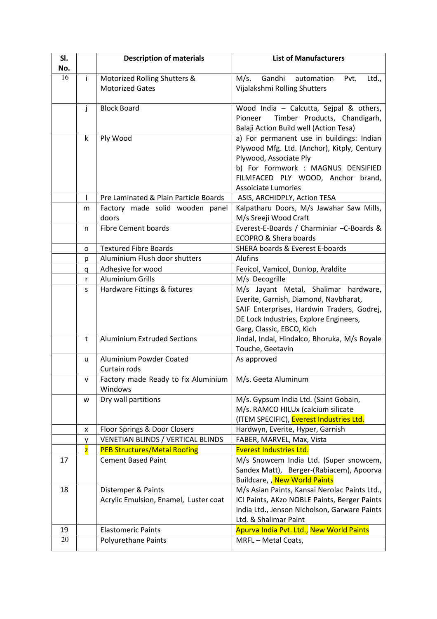| SI.<br>No. |    | <b>Description of materials</b>                             | <b>List of Manufacturers</b>                                                                                                                                                                                                |
|------------|----|-------------------------------------------------------------|-----------------------------------------------------------------------------------------------------------------------------------------------------------------------------------------------------------------------------|
| 16         | i. | Motorized Rolling Shutters &                                | Gandhi<br>M/s.<br>automation<br>Pvt.<br>Ltd.,                                                                                                                                                                               |
|            |    | <b>Motorized Gates</b>                                      | Vijalakshmi Rolling Shutters                                                                                                                                                                                                |
|            | j  | <b>Block Board</b>                                          | Wood India - Calcutta, Sejpal & others,<br>Timber Products, Chandigarh,<br>Pioneer<br>Balaji Action Build well (Action Tesa)                                                                                                |
|            | k  | Ply Wood                                                    | a) For permanent use in buildings: Indian<br>Plywood Mfg. Ltd. (Anchor), Kitply, Century<br>Plywood, Associate Ply<br>b) For Formwork : MAGNUS DENSIFIED<br>FILMFACED PLY WOOD, Anchor brand,<br><b>Assoiciate Lumories</b> |
|            |    | Pre Laminated & Plain Particle Boards                       | ASIS, ARCHIDPLY, Action TESA                                                                                                                                                                                                |
|            | m  | Factory made solid wooden panel<br>doors                    | Kalpatharu Doors, M/s Jawahar Saw Mills,<br>M/s Sreeji Wood Craft                                                                                                                                                           |
|            | n  | <b>Fibre Cement boards</b>                                  | Everest-E-Boards / Charminiar -C-Boards &<br><b>ECOPRO &amp; Shera boards</b>                                                                                                                                               |
|            | o  | <b>Textured Fibre Boards</b>                                | SHERA boards & Everest E-boards                                                                                                                                                                                             |
|            | p  | Aluminium Flush door shutters                               | Alufins                                                                                                                                                                                                                     |
|            | q  | Adhesive for wood                                           | Fevicol, Vamicol, Dunlop, Araldite                                                                                                                                                                                          |
|            | r  | <b>Aluminium Grills</b>                                     | M/s Decogrille                                                                                                                                                                                                              |
|            | s  | Hardware Fittings & fixtures                                | M/s Jayant Metal, Shalimar hardware,<br>Everite, Garnish, Diamond, Navbharat,<br>SAIF Enterprises, Hardwin Traders, Godrej,<br>DE Lock Industries, Explore Engineers,<br>Garg, Classic, EBCO, Kich                          |
|            | t  | <b>Aluminium Extruded Sections</b>                          | Jindal, Indal, Hindalco, Bhoruka, M/s Royale<br>Touche, Geetavin                                                                                                                                                            |
|            | u  | Aluminium Powder Coated<br>Curtain rods                     | As approved                                                                                                                                                                                                                 |
|            | V  | Factory made Ready to fix Aluminium<br>Windows              | M/s. Geeta Aluminum                                                                                                                                                                                                         |
|            | w  | Dry wall partitions                                         | M/s. Gypsum India Ltd. (Saint Gobain,<br>M/s. RAMCO HILUx (calcium silicate<br>(ITEM SPECIFIC), Everest Industries Ltd.                                                                                                     |
|            | X  | Floor Springs & Door Closers                                | Hardwyn, Everite, Hyper, Garnish                                                                                                                                                                                            |
|            | у  | VENETIAN BLINDS / VERTICAL BLINDS                           | FABER, MARVEL, Max, Vista                                                                                                                                                                                                   |
|            | z  | <b>PEB Structures/Metal Roofing</b>                         | <b>Everest Industries Ltd.</b>                                                                                                                                                                                              |
| 17         |    | <b>Cement Based Paint</b>                                   | M/s Snowcem India Ltd. (Super snowcem,<br>Sandex Matt), Berger-(Rabiacem), Apoorva<br>Buildcare, , New World Paints                                                                                                         |
| 18         |    | Distemper & Paints<br>Acrylic Emulsion, Enamel, Luster coat | M/s Asian Paints, Kansai Nerolac Paints Ltd.,<br>ICI Paints, AKzo NOBLE Paints, Berger Paints<br>India Ltd., Jenson Nicholson, Garware Paints<br>Ltd. & Shalimar Paint                                                      |
| 19         |    | <b>Elastomeric Paints</b>                                   | Apurva India Pvt. Ltd., New World Paints                                                                                                                                                                                    |
| 20         |    | Polyurethane Paints                                         | MRFL-Metal Coats,                                                                                                                                                                                                           |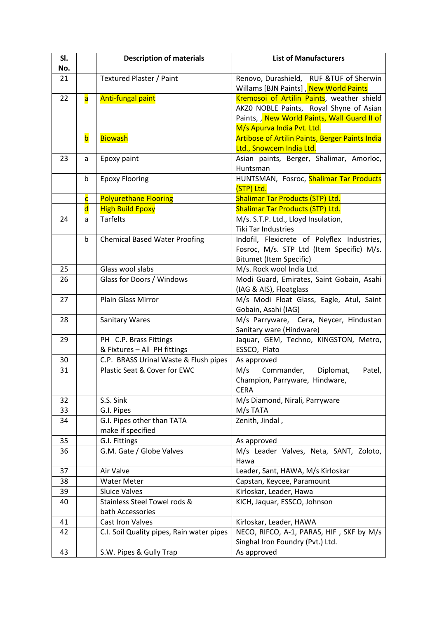| SI. |                         | <b>Description of materials</b>                        | <b>List of Manufacturers</b>                                                      |
|-----|-------------------------|--------------------------------------------------------|-----------------------------------------------------------------------------------|
| No. |                         |                                                        |                                                                                   |
| 21  |                         | Textured Plaster / Paint                               | Renovo, Durashield, RUF &TUF of Sherwin<br>Willams [BJN Paints], New World Paints |
| 22  | $\overline{\mathsf{a}}$ | Anti-fungal paint                                      | Kremosoi of Artilin Paints, weather shield                                        |
|     |                         |                                                        | AKZO NOBLE Paints, Royal Shyne of Asian                                           |
|     |                         |                                                        | Paints, , New World Paints, Wall Guard II of                                      |
|     |                         |                                                        | M/s Apurva India Pvt. Ltd.                                                        |
|     | $\mathsf b$             | <b>Biowash</b>                                         | <b>Artibose of Artilin Paints, Berger Paints India</b>                            |
|     |                         |                                                        | Ltd., Snowcem India Ltd.                                                          |
| 23  | a                       | Epoxy paint                                            | Asian paints, Berger, Shalimar, Amorloc,                                          |
|     |                         |                                                        | Huntsman                                                                          |
|     | b                       | <b>Epoxy Flooring</b>                                  | HUNTSMAN, Fosroc, Shalimar Tar Products                                           |
|     |                         |                                                        | (STP) Ltd.                                                                        |
|     | $\overline{\mathsf{C}}$ | <b>Polyurethane Flooring</b>                           | <b>Shalimar Tar Products (STP) Ltd.</b>                                           |
|     | $\overline{\mathsf{d}}$ | <b>High Build Epoxy</b>                                | <b>Shalimar Tar Products (STP) Ltd.</b>                                           |
| 24  | a                       | <b>Tarfelts</b>                                        | M/s. S.T.P. Ltd., Lloyd Insulation,                                               |
|     |                         |                                                        | <b>Tiki Tar Industries</b>                                                        |
|     | b                       | <b>Chemical Based Water Proofing</b>                   | Indofil, Flexicrete of Polyflex Industries,                                       |
|     |                         |                                                        | Fosroc, M/s. STP Ltd (Item Specific) M/s.                                         |
|     |                         |                                                        | <b>Bitumet (Item Specific)</b>                                                    |
| 25  |                         | Glass wool slabs                                       | M/s. Rock wool India Ltd.                                                         |
| 26  |                         | Glass for Doors / Windows                              | Modi Guard, Emirates, Saint Gobain, Asahi                                         |
|     |                         |                                                        | (IAG & AIS), Floatglass                                                           |
| 27  |                         | Plain Glass Mirror                                     | M/s Modi Float Glass, Eagle, Atul, Saint                                          |
|     |                         |                                                        | Gobain, Asahi (IAG)                                                               |
| 28  |                         | Sanitary Wares                                         | M/s Parryware, Cera, Neycer, Hindustan                                            |
|     |                         |                                                        | Sanitary ware (Hindware)                                                          |
| 29  |                         | PH C.P. Brass Fittings<br>& Fixtures - All PH fittings | Jaquar, GEM, Techno, KINGSTON, Metro,<br>ESSCO, Plato                             |
| 30  |                         | C.P. BRASS Urinal Waste & Flush pipes                  | As approved                                                                       |
| 31  |                         | Plastic Seat & Cover for EWC                           | M/s<br>Commander,<br>Diplomat,<br>Patel,                                          |
|     |                         |                                                        | Champion, Parryware, Hindware,                                                    |
|     |                         |                                                        | <b>CERA</b>                                                                       |
| 32  |                         | S.S. Sink                                              | M/s Diamond, Nirali, Parryware                                                    |
| 33  |                         | G.I. Pipes                                             | M/s TATA                                                                          |
| 34  |                         | G.I. Pipes other than TATA                             | Zenith, Jindal,                                                                   |
|     |                         | make if specified                                      |                                                                                   |
| 35  |                         | G.I. Fittings                                          | As approved                                                                       |
| 36  |                         | G.M. Gate / Globe Valves                               | M/s Leader Valves, Neta, SANT, Zoloto,                                            |
|     |                         |                                                        | Hawa                                                                              |
| 37  |                         | Air Valve                                              | Leader, Sant, HAWA, M/s Kirloskar                                                 |
| 38  |                         | <b>Water Meter</b>                                     | Capstan, Keycee, Paramount                                                        |
| 39  |                         | <b>Sluice Valves</b>                                   | Kirloskar, Leader, Hawa                                                           |
| 40  |                         | Stainless Steel Towel rods &                           | KICH, Jaquar, ESSCO, Johnson                                                      |
|     |                         | bath Accessories                                       |                                                                                   |
| 41  |                         | Cast Iron Valves                                       | Kirloskar, Leader, HAWA                                                           |
| 42  |                         | C.I. Soil Quality pipes, Rain water pipes              | NECO, RIFCO, A-1, PARAS, HIF, SKF by M/s                                          |
|     |                         |                                                        | Singhal Iron Foundry (Pvt.) Ltd.                                                  |
| 43  |                         | S.W. Pipes & Gully Trap                                | As approved                                                                       |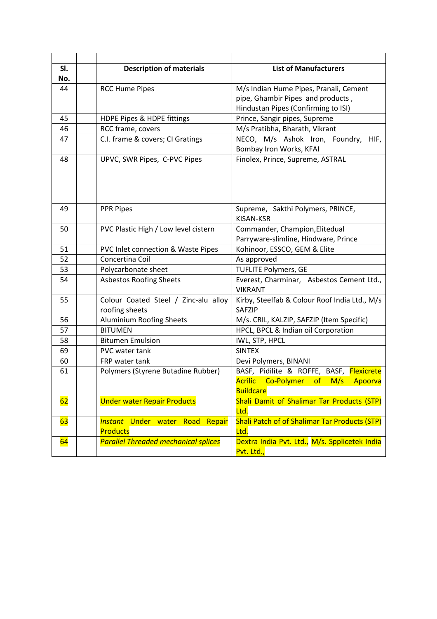| SI.<br><b>Description of materials</b><br><b>List of Manufacturers</b><br>No.                              |         |
|------------------------------------------------------------------------------------------------------------|---------|
|                                                                                                            |         |
|                                                                                                            |         |
| M/s Indian Hume Pipes, Pranali, Cement<br>44<br><b>RCC Hume Pipes</b>                                      |         |
| pipe, Ghambir Pipes and products,                                                                          |         |
| Hindustan Pipes (Confirming to ISI)                                                                        |         |
| HDPE Pipes & HDPE fittings<br>Prince, Sangir pipes, Supreme<br>45                                          |         |
| 46<br>RCC frame, covers<br>M/s Pratibha, Bharath, Vikrant                                                  |         |
| C.I. frame & covers; CI Gratings<br>NECO, M/s Ashok Iron, Foundry,<br>47                                   | HIF,    |
| Bombay Iron Works, KFAI                                                                                    |         |
| UPVC, SWR Pipes, C-PVC Pipes<br>Finolex, Prince, Supreme, ASTRAL<br>48                                     |         |
|                                                                                                            |         |
|                                                                                                            |         |
|                                                                                                            |         |
|                                                                                                            |         |
| PPR Pipes<br>49<br>Supreme, Sakthi Polymers, PRINCE,                                                       |         |
| KISAN-KSR                                                                                                  |         |
| Commander, Champion, Elitedual<br>PVC Plastic High / Low level cistern<br>50                               |         |
| Parryware-slimline, Hindware, Prince                                                                       |         |
| Kohinoor, ESSCO, GEM & Elite<br>51<br>PVC Inlet connection & Waste Pipes                                   |         |
| Concertina Coil<br>52<br>As approved                                                                       |         |
| 53<br>Polycarbonate sheet<br><b>TUFLITE Polymers, GE</b>                                                   |         |
| 54<br><b>Asbestos Roofing Sheets</b><br>Everest, Charminar, Asbestos Cement Ltd.,                          |         |
| <b>VIKRANT</b>                                                                                             |         |
| Colour Coated Steel / Zinc-alu alloy<br>Kirby, Steelfab & Colour Roof India Ltd., M/s<br>55                |         |
| roofing sheets<br><b>SAFZIP</b>                                                                            |         |
| Aluminium Roofing Sheets<br>56<br>M/s. CRIL, KALZIP, SAFZIP (Item Specific)                                |         |
| 57<br><b>BITUMEN</b><br>HPCL, BPCL & Indian oil Corporation                                                |         |
| <b>Bitumen Emulsion</b><br>58<br>IWL, STP, HPCL                                                            |         |
| <b>SINTEX</b><br>69<br>PVC water tank                                                                      |         |
| 60<br>FRP water tank<br>Devi Polymers, BINANI                                                              |         |
| BASF, Pidilite & ROFFE, BASF, Flexicrete<br>Polymers (Styrene Butadine Rubber)<br>61                       |         |
| <mark>Acrilic</mark><br>Co-Polymer<br>M/s<br>of                                                            | Apoorva |
| <b>Buildcare</b>                                                                                           |         |
| Shali Damit of Shalimar Tar Products (STP)<br>62<br><b>Under water Repair Products</b>                     |         |
| Ltd.                                                                                                       |         |
| <b>Shali Patch of of Shalimar Tar Products (STP)</b><br><b>Instant Under water</b><br>63<br>Road<br>Repair |         |
| <b>Products</b><br>Ltd.                                                                                    |         |
| <b>Parallel Threaded mechanical splices</b><br>Dextra India Pvt. Ltd., M/s. Spplicetek India<br>64         |         |
| Pvt. Ltd.,                                                                                                 |         |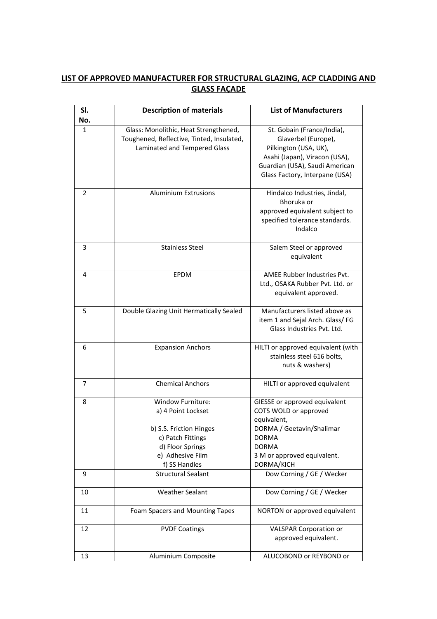## LIST OF APPROVED MANUFACTURER FOR STRUCTURAL GLAZING, ACP CLADDING AND GLASS FAÇADE

| SI.            | <b>Description of materials</b>           | <b>List of Manufacturers</b>       |
|----------------|-------------------------------------------|------------------------------------|
| No.            |                                           |                                    |
| 1              | Glass: Monolithic, Heat Strengthened,     | St. Gobain (France/India),         |
|                | Toughened, Reflective, Tinted, Insulated, | Glaverbel (Europe),                |
|                | Laminated and Tempered Glass              | Pilkington (USA, UK),              |
|                |                                           | Asahi (Japan), Viracon (USA),      |
|                |                                           | Guardian (USA), Saudi American     |
|                |                                           | Glass Factory, Interpane (USA)     |
| $\overline{2}$ | <b>Aluminium Extrusions</b>               | Hindalco Industries, Jindal,       |
|                |                                           | Bhoruka or                         |
|                |                                           | approved equivalent subject to     |
|                |                                           | specified tolerance standards.     |
|                |                                           | Indalco                            |
|                |                                           |                                    |
| 3              | <b>Stainless Steel</b>                    | Salem Steel or approved            |
|                |                                           | equivalent                         |
| 4              | EPDM                                      | AMEE Rubber Industries Pvt.        |
|                |                                           | Ltd., OSAKA Rubber Pvt. Ltd. or    |
|                |                                           | equivalent approved.               |
|                |                                           |                                    |
| 5              | Double Glazing Unit Hermatically Sealed   | Manufacturers listed above as      |
|                |                                           | item 1 and Sejal Arch. Glass/ FG   |
|                |                                           | Glass Industries Pvt. Ltd.         |
| 6              | <b>Expansion Anchors</b>                  | HILTI or approved equivalent (with |
|                |                                           | stainless steel 616 bolts,         |
|                |                                           | nuts & washers)                    |
|                |                                           |                                    |
| 7              | <b>Chemical Anchors</b>                   | HILTI or approved equivalent       |
| 8              | <b>Window Furniture:</b>                  | GIESSE or approved equivalent      |
|                | a) 4 Point Lockset                        | COTS WOLD or approved              |
|                |                                           | equivalent,                        |
|                | b) S.S. Friction Hinges                   | DORMA / Geetavin/Shalimar          |
|                | c) Patch Fittings                         | <b>DORMA</b>                       |
|                | d) Floor Springs                          | <b>DORMA</b>                       |
|                | e) Adhesive Film                          | 3 M or approved equivalent.        |
|                | f) SS Handles                             | DORMA/KICH                         |
| 9              | <b>Structural Sealant</b>                 | Dow Corning / GE / Wecker          |
|                |                                           |                                    |
| 10             | <b>Weather Sealant</b>                    | Dow Corning / GE / Wecker          |
| 11             | Foam Spacers and Mounting Tapes           | NORTON or approved equivalent      |
| 12             | <b>PVDF Coatings</b>                      | <b>VALSPAR Corporation or</b>      |
|                |                                           | approved equivalent.               |
|                |                                           |                                    |
| 13             | Aluminium Composite                       | ALUCOBOND or REYBOND or            |